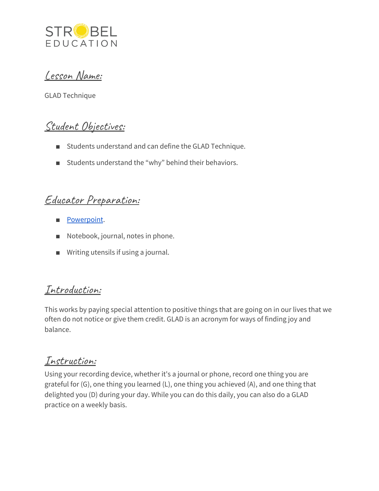

Lesson Name:

GLAD Technique

## Student Objectives:

- Students understand and can define the GLAD Technique.
- Students understand the "why" behind their behaviors.

#### Educator Preparation:

- [Powerpoint](https://docs.google.com/presentation/d/1EPamPUPMPqBiiEAvs3HbPFDyVCxaWTNNFpv9yX8vWHI/edit?usp=sharing).
- Notebook, journal, notes in phone.
- Writing utensils if using a journal.

## Introduction:

This works by paying special attention to positive things that are going on in our lives that we often do not notice or give them credit. GLAD is an acronym for ways of finding joy and balance.

## Instruction:

Using your recording device, whether it's a journal or phone, record one thing you are grateful for (G), one thing you learned (L), one thing you achieved (A), and one thing that delighted you (D) during your day. While you can do this daily, you can also do a GLAD practice on a weekly basis.